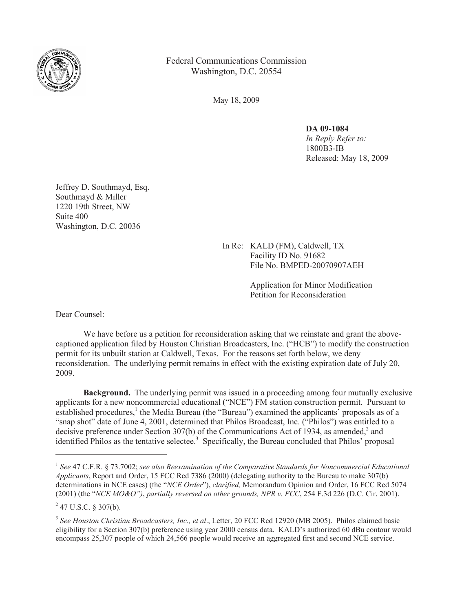

Federal Communications Commission Washington, D.C. 20554

May 18, 2009

**DA 09-1084** *In Reply Refer to:*  1800B3-IB Released: May 18, 2009

Jeffrey D. Southmayd, Esq. Southmayd & Miller 1220 19th Street, NW Suite 400 Washington, D.C. 20036

> In Re: KALD (FM), Caldwell, TX Facility ID No. 91682 File No. BMPED-20070907AEH

> > Application for Minor Modification Petition for Reconsideration

Dear Counsel:

We have before us a petition for reconsideration asking that we reinstate and grant the abovecaptioned application filed by Houston Christian Broadcasters, Inc. ("HCB") to modify the construction permit for its unbuilt station at Caldwell, Texas. For the reasons set forth below, we deny reconsideration. The underlying permit remains in effect with the existing expiration date of July 20, 2009.

**Background.** The underlying permit was issued in a proceeding among four mutually exclusive applicants for a new noncommercial educational ("NCE") FM station construction permit. Pursuant to established procedures,<sup>1</sup> the Media Bureau (the "Bureau") examined the applicants<sup>3</sup> proposals as of a "snap shot" date of June 4, 2001, determined that Philos Broadcast, Inc. ("Philos") was entitled to a decisive preference under Section 307(b) of the Communications Act of 1934, as amended,<sup>2</sup> and identified Philos as the tentative selectee.<sup>3</sup> Specifically, the Bureau concluded that Philos' proposal

<sup>&</sup>lt;sup>1</sup> See 47 C.F.R. § 73.7002; see also Reexamination of the Comparative Standards for Noncommercial Educational *Applicants*, Report and Order, 15 FCC Rcd 7386 (2000) (delegating authority to the Bureau to make 307(b) determinations in NCE cases) (the "*NCE Order*"), *clarified,* Memorandum Opinion and Order, 16 FCC Rcd 5074 (2001) (the "*NCE MO&O")*, *partially reversed on other grounds, NPR v. FCC*, 254 F.3d 226 (D.C. Cir. 2001).

 $2$  47 U.S.C. § 307(b).

<sup>3</sup> *See Houston Christian Broadcasters, Inc., et al*., Letter, 20 FCC Rcd 12920 (MB 2005). Philos claimed basic eligibility for a Section 307(b) preference using year 2000 census data. KALD's authorized 60 dBu contour would encompass 25,307 people of which 24,566 people would receive an aggregated first and second NCE service.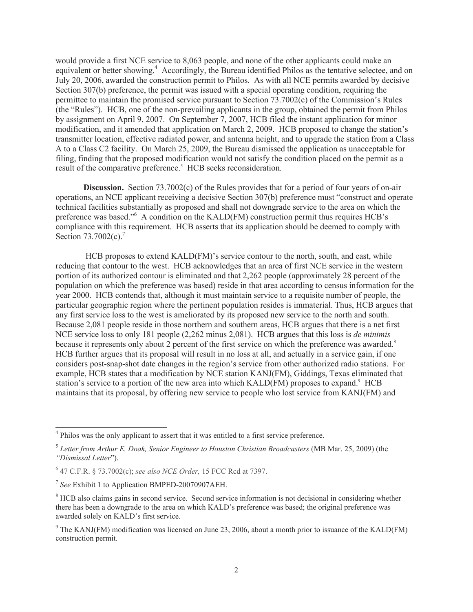would provide a first NCE service to 8,063 people, and none of the other applicants could make an equivalent or better showing.<sup>4</sup> Accordingly, the Bureau identified Philos as the tentative selectee, and on July 20, 2006, awarded the construction permit to Philos. As with all NCE permits awarded by decisive Section 307(b) preference, the permit was issued with a special operating condition, requiring the permittee to maintain the promised service pursuant to Section 73.7002(c) of the Commission's Rules (the "Rules"). HCB, one of the non-prevailing applicants in the group, obtained the permit from Philos by assignment on April 9, 2007. On September 7, 2007, HCB filed the instant application for minor modification, and it amended that application on March 2, 2009. HCB proposed to change the station's transmitter location, effective radiated power, and antenna height, and to upgrade the station from a Class A to a Class C2 facility. On March 25, 2009, the Bureau dismissed the application as unacceptable for filing, finding that the proposed modification would not satisfy the condition placed on the permit as a result of the comparative preference.<sup>5</sup> HCB seeks reconsideration.

**Discussion.** Section 73.7002(c) of the Rules provides that for a period of four years of on-air operations, an NCE applicant receiving a decisive Section 307(b) preference must "construct and operate technical facilities substantially as proposed and shall not downgrade service to the area on which the preference was based."<sup>6</sup> A condition on the KALD(FM) construction permit thus requires HCB's compliance with this requirement. HCB asserts that its application should be deemed to comply with Section 73.7002(c).<sup>7</sup>

HCB proposes to extend KALD(FM)'s service contour to the north, south, and east, while reducing that contour to the west. HCB acknowledges that an area of first NCE service in the western portion of its authorized contour is eliminated and that 2,262 people (approximately 28 percent of the population on which the preference was based) reside in that area according to census information for the year 2000. HCB contends that, although it must maintain service to a requisite number of people, the particular geographic region where the pertinent population resides is immaterial. Thus, HCB argues that any first service loss to the west is ameliorated by its proposed new service to the north and south. Because 2,081 people reside in those northern and southern areas, HCB argues that there is a net first NCE service loss to only 181 people (2,262 minus 2,081). HCB argues that this loss is *de minimis* because it represents only about 2 percent of the first service on which the preference was awarded.<sup>8</sup> HCB further argues that its proposal will result in no loss at all, and actually in a service gain, if one considers post-snap-shot date changes in the region's service from other authorized radio stations. For example, HCB states that a modification by NCE station KANJ(FM), Giddings, Texas eliminated that station's service to a portion of the new area into which KALD(FM) proposes to expand.<sup>9</sup> HCB maintains that its proposal, by offering new service to people who lost service from KANJ(FM) and

<sup>&</sup>lt;sup>4</sup> Philos was the only applicant to assert that it was entitled to a first service preference.

<sup>&</sup>lt;sup>5</sup> Letter from Arthur E. Doak, Senior Engineer to Houston Christian Broadcasters (MB Mar. 25, 2009) (the *"Dismissal Letter*").

<sup>6</sup> 47 C.F.R. § 73.7002(c); *see also NCE Order,* 15 FCC Rcd at 7397.

<sup>7</sup> *See* Exhibit 1 to Application BMPED-20070907AEH.

<sup>&</sup>lt;sup>8</sup> HCB also claims gains in second service. Second service information is not decisional in considering whether there has been a downgrade to the area on which KALD's preference was based; the original preference was awarded solely on KALD's first service.

<sup>&</sup>lt;sup>9</sup> The KANJ(FM) modification was licensed on June 23, 2006, about a month prior to issuance of the KALD(FM) construction permit.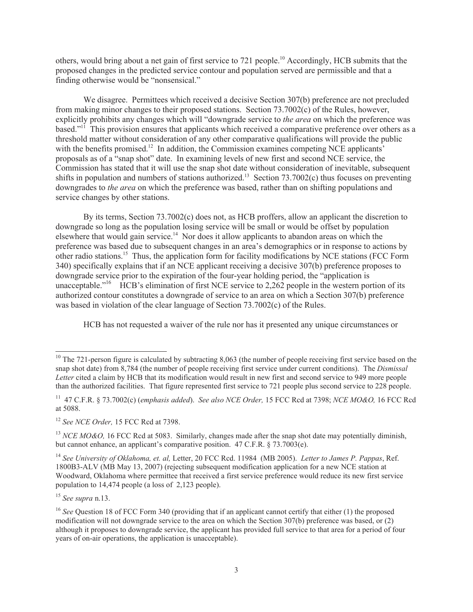others, would bring about a net gain of first service to 721 people.<sup>10</sup> Accordingly, HCB submits that the proposed changes in the predicted service contour and population served are permissible and that a finding otherwise would be "nonsensical."

We disagree. Permittees which received a decisive Section 307(b) preference are not precluded from making minor changes to their proposed stations. Section 73.7002(c) of the Rules, however, explicitly prohibits any changes which will "downgrade service to *the area* on which the preference was based."<sup>11</sup> This provision ensures that applicants which received a comparative preference over others as a threshold matter without consideration of any other comparative qualifications will provide the public with the benefits promised.<sup>12</sup> In addition, the Commission examines competing NCE applicants<sup>7</sup> proposals as of a "snap shot" date. In examining levels of new first and second NCE service, the Commission has stated that it will use the snap shot date without consideration of inevitable, subsequent shifts in population and numbers of stations authorized.<sup>13</sup> Section 73.7002(c) thus focuses on preventing downgrades to *the area* on which the preference was based, rather than on shifting populations and service changes by other stations.

By its terms, Section 73.7002(c) does not, as HCB proffers, allow an applicant the discretion to downgrade so long as the population losing service will be small or would be offset by population elsewhere that would gain service.<sup>14</sup> Nor does it allow applicants to abandon areas on which the preference was based due to subsequent changes in an area's demographics or in response to actions by other radio stations.<sup>15</sup> Thus, the application form for facility modifications by NCE stations (FCC Form 340) specifically explains that if an NCE applicant receiving a decisive 307(b) preference proposes to downgrade service prior to the expiration of the four-year holding period, the "application is unacceptable."<sup>16</sup> HCB's elimination of first NCE service to  $2.262$  people in the western portion of its authorized contour constitutes a downgrade of service to an area on which a Section 307(b) preference was based in violation of the clear language of Section 73.7002(c) of the Rules.

HCB has not requested a waiver of the rule nor has it presented any unique circumstances or

<sup>15</sup> *See supra* n.13.

 $10$  The 721-person figure is calculated by subtracting 8,063 (the number of people receiving first service based on the snap shot date) from 8,784 (the number of people receiving first service under current conditions). The *Dismissal Letter* cited a claim by HCB that its modification would result in new first and second service to 949 more people than the authorized facilities. That figure represented first service to 721 people plus second service to 228 people.

<sup>11</sup> 47 C.F.R. § 73.7002(c) (*emphasis added*). *See also NCE Order,* 15 FCC Rcd at 7398; *NCE MO&O,* 16 FCC Rcd at 5088.

<sup>12</sup> *See NCE Order,* 15 FCC Rcd at 7398.

<sup>&</sup>lt;sup>13</sup> *NCE MO&O*, 16 FCC Rcd at 5083. Similarly, changes made after the snap shot date may potentially diminish, but cannot enhance, an applicant's comparative position. 47 C.F.R. § 73.7003(e).

<sup>14</sup> *See University of Oklahoma, et. al,* Letter, 20 FCC Rcd. 11984 (MB 2005). *Letter to James P. Pappas*, Ref. 1800B3-ALV (MB May 13, 2007) (rejecting subsequent modification application for a new NCE station at Woodward, Oklahoma where permittee that received a first service preference would reduce its new first service population to 14,474 people (a loss of 2,123 people).

<sup>&</sup>lt;sup>16</sup> *See* Question 18 of FCC Form 340 (providing that if an applicant cannot certify that either (1) the proposed modification will not downgrade service to the area on which the Section 307(b) preference was based, or (2) although it proposes to downgrade service, the applicant has provided full service to that area for a period of four years of on-air operations, the application is unacceptable).